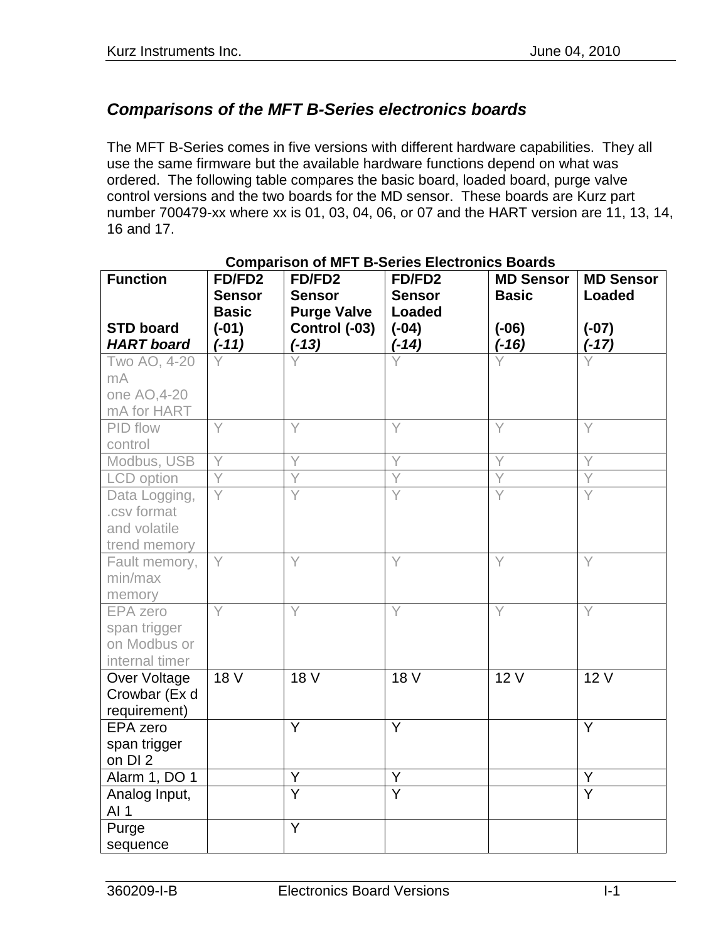## *Comparisons of the MFT B-Series electronics boards*

The MFT B-Series comes in five versions with different hardware capabilities. They all use the same firmware but the available hardware functions depend on what was ordered. The following table compares the basic board, loaded board, purge valve control versions and the two boards for the MD sensor. These boards are Kurz part number 700479-xx where xx is 01, 03, 04, 06, or 07 and the HART version are 11, 13, 14, 16 and 17.

| <b>Function</b>   | FD/FD2<br><b>Sensor</b> | FD/FD2<br><b>Sensor</b> | FD/FD2<br><b>Sensor</b> | <b>MD Sensor</b><br><b>Basic</b> | <b>MD Sensor</b><br><b>Loaded</b> |
|-------------------|-------------------------|-------------------------|-------------------------|----------------------------------|-----------------------------------|
|                   | <b>Basic</b>            | <b>Purge Valve</b>      | <b>Loaded</b>           |                                  |                                   |
| <b>STD board</b>  | $(-01)$                 | Control (-03)           | $(-04)$                 | $(-06)$                          | $(-07)$                           |
| <b>HART</b> board | $(-11)$                 | $(-13)$                 | $(-14)$                 | $(-16)$                          | $(-17)$                           |
| Two AO, 4-20      |                         |                         |                         |                                  |                                   |
| mA                |                         |                         |                         |                                  |                                   |
| one AO, 4-20      |                         |                         |                         |                                  |                                   |
| mA for HART       |                         |                         |                         |                                  |                                   |
| PID flow          | Υ                       | Y                       | Υ                       | Y                                | Y                                 |
| control           |                         |                         |                         |                                  |                                   |
| Modbus, USB       | Y                       | Y                       | Υ                       | Y                                | Υ                                 |
| <b>LCD</b> option |                         |                         |                         |                                  |                                   |
| Data Logging,     |                         |                         |                         |                                  | Υ                                 |
| .csv format       |                         |                         |                         |                                  |                                   |
| and volatile      |                         |                         |                         |                                  |                                   |
| trend memory      |                         |                         |                         |                                  |                                   |
| Fault memory,     | Y                       | Y                       | Y                       | Υ                                | Y                                 |
| min/max           |                         |                         |                         |                                  |                                   |
| memory            |                         |                         |                         |                                  |                                   |
| <b>EPA</b> zero   | Y                       | Ÿ                       | Y                       | Y                                | Y                                 |
| span trigger      |                         |                         |                         |                                  |                                   |
| on Modbus or      |                         |                         |                         |                                  |                                   |
| internal timer    |                         |                         |                         |                                  |                                   |
| Over Voltage      | 18 V                    | 18 V                    | 18 V                    | 12V                              | 12 V                              |
| Crowbar (Ex d     |                         |                         |                         |                                  |                                   |
| requirement)      |                         |                         |                         |                                  |                                   |
| EPA zero          |                         | Y                       | Y                       |                                  | Y                                 |
| span trigger      |                         |                         |                         |                                  |                                   |
| on DI 2           |                         |                         |                         |                                  |                                   |
| Alarm 1, DO 1     |                         | Y                       | Υ                       |                                  | Υ                                 |
| Analog Input,     |                         | $\overline{\mathsf{Y}}$ | $\overline{\mathsf{Y}}$ |                                  | $\overline{\mathsf{Y}}$           |
| AI <sub>1</sub>   |                         |                         |                         |                                  |                                   |
| Purge             |                         | $\overline{Y}$          |                         |                                  |                                   |
| sequence          |                         |                         |                         |                                  |                                   |

## **Comparison of MFT B-Series Electronics Boards**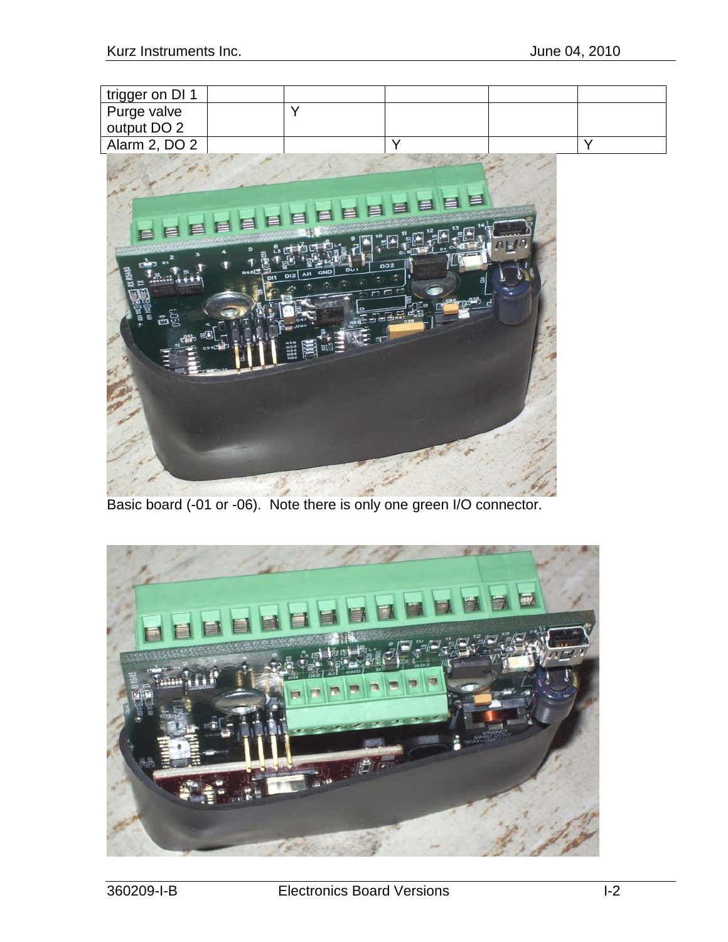| trigger on DI 1 |  |  |  |
|-----------------|--|--|--|
| Purge valve     |  |  |  |
| output DO 2     |  |  |  |
| Alarm 2, DO 2   |  |  |  |



Basic board (-01 or -06). Note there is only one green I/O connector.

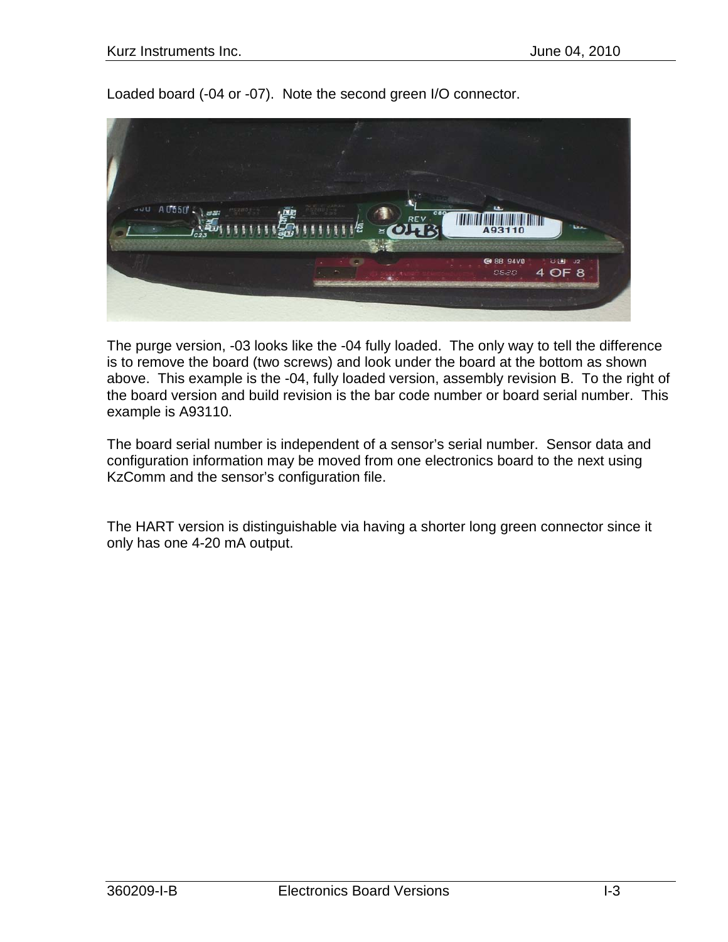Loaded board (-04 or -07). Note the second green I/O connector.



The purge version, -03 looks like the -04 fully loaded. The only way to tell the difference is to remove the board (two screws) and look under the board at the bottom as shown above. This example is the -04, fully loaded version, assembly revision B. To the right of the board version and build revision is the bar code number or board serial number. This example is A93110.

The board serial number is independent of a sensor's serial number. Sensor data and configuration information may be moved from one electronics board to the next using KzComm and the sensor's configuration file.

The HART version is distinguishable via having a shorter long green connector since it only has one 4-20 mA output.